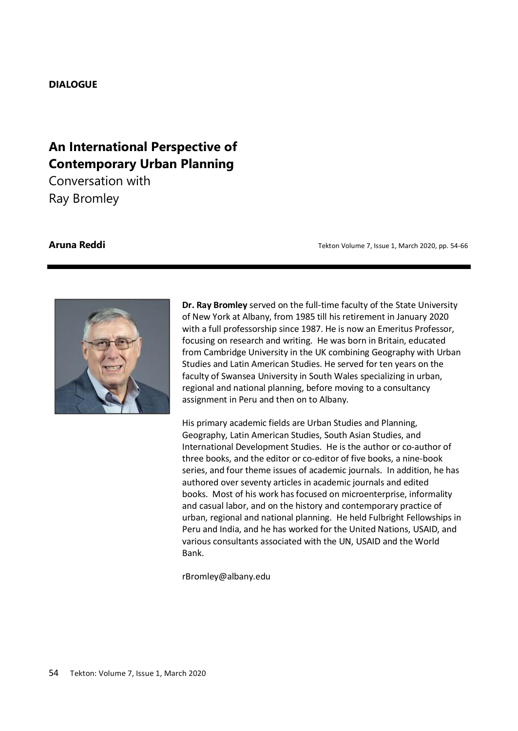## **DIALOGUE**

# **An International Perspective of Contemporary Urban Planning**

Conversation with Ray Bromley

**Aruna Reddi Aruna Reddi 1, Issue 1, March 2020**, pp. 54-66



**Dr. Ray Bromley** served on the full-time faculty of the State University of New York at Albany, from 1985 till his retirement in January 2020 with a full professorship since 1987. He is now an Emeritus Professor, focusing on research and writing. He was born in Britain, educated from Cambridge University in the UK combining Geography with Urban Studies and Latin American Studies. He served for ten years on the faculty of Swansea University in South Wales specializing in urban, regional and national planning, before moving to a consultancy assignment in Peru and then on to Albany.

His primary academic fields are Urban Studies and Planning, Geography, Latin American Studies, South Asian Studies, and International Development Studies. He is the author or co-author of three books, and the editor or co-editor of five books, a nine-book series, and four theme issues of academic journals. In addition, he has authored over seventy articles in academic journals and edited books. Most of his work has focused on microenterprise, informality and casual labor, and on the history and contemporary practice of urban, regional and national planning. He held Fulbright Fellowships in Peru and India, and he has worked for the United Nations, USAID, and various consultants associated with the UN, USAID and the World Bank.

rBromley@albany.edu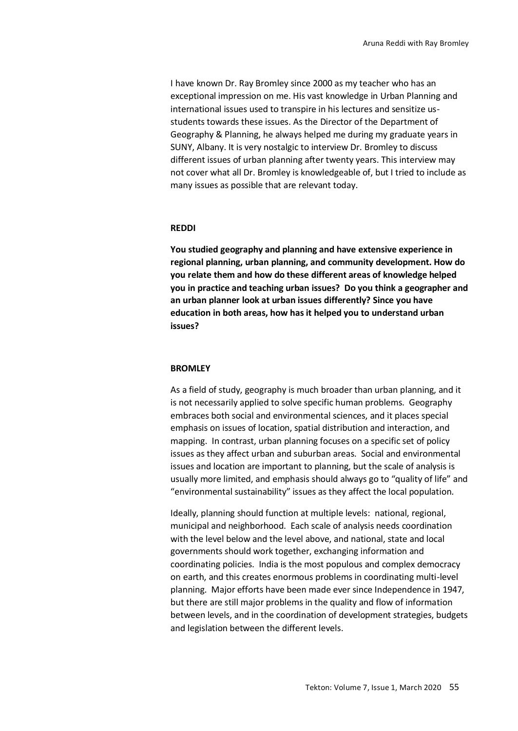I have known Dr. Ray Bromley since 2000 as my teacher who has an exceptional impression on me. His vast knowledge in Urban Planning and international issues used to transpire in his lectures and sensitize usstudents towards these issues. As the Director of the Department of Geography & Planning, he always helped me during my graduate years in SUNY, Albany. It is very nostalgic to interview Dr. Bromley to discuss different issues of urban planning after twenty years. This interview may not cover what all Dr. Bromley is knowledgeable of, but I tried to include as many issues as possible that are relevant today.

## **REDDI**

**You studied geography and planning and have extensive experience in regional planning, urban planning, and community development. How do you relate them and how do these different areas of knowledge helped you in practice and teaching urban issues? Do you think a geographer and an urban planner look at urban issues differently? Since you have education in both areas, how has it helped you to understand urban issues?**

## **BROMLEY**

As a field of study, geography is much broader than urban planning, and it is not necessarily applied to solve specific human problems. Geography embraces both social and environmental sciences, and it places special emphasis on issues of location, spatial distribution and interaction, and mapping. In contrast, urban planning focuses on a specific set of policy issues as they affect urban and suburban areas. Social and environmental issues and location are important to planning, but the scale of analysis is usually more limited, and emphasis should always go to "quality of life" and "environmental sustainability" issues as they affect the local population.

Ideally, planning should function at multiple levels: national, regional, municipal and neighborhood. Each scale of analysis needs coordination with the level below and the level above, and national, state and local governments should work together, exchanging information and coordinating policies. India is the most populous and complex democracy on earth, and this creates enormous problems in coordinating multi-level planning. Major efforts have been made ever since Independence in 1947, but there are still major problems in the quality and flow of information between levels, and in the coordination of development strategies, budgets and legislation between the different levels.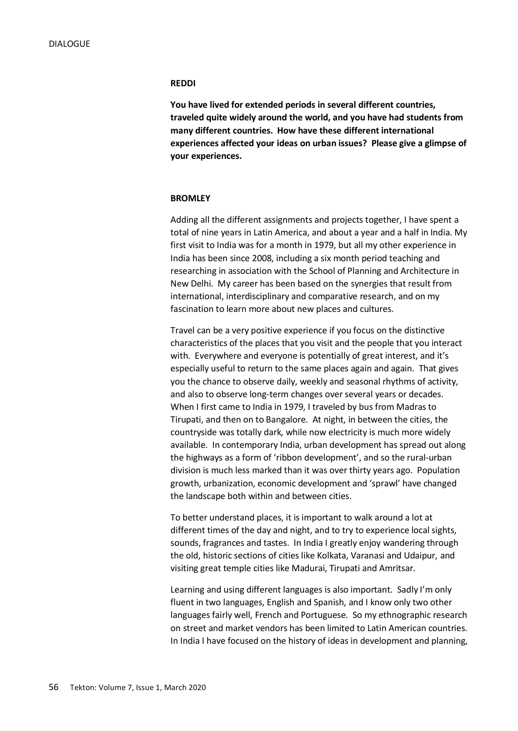## **REDDI**

**You have lived for extended periods in several different countries, traveled quite widely around the world, and you have had students from many different countries. How have these different international experiences affected your ideas on urban issues? Please give a glimpse of your experiences.**

## **BROMLEY**

Adding all the different assignments and projects together, I have spent a total of nine years in Latin America, and about a year and a half in India. My first visit to India was for a month in 1979, but all my other experience in India has been since 2008, including a six month period teaching and researching in association with the School of Planning and Architecture in New Delhi. My career has been based on the synergies that result from international, interdisciplinary and comparative research, and on my fascination to learn more about new places and cultures.

Travel can be a very positive experience if you focus on the distinctive characteristics of the places that you visit and the people that you interact with. Everywhere and everyone is potentially of great interest, and it's especially useful to return to the same places again and again. That gives you the chance to observe daily, weekly and seasonal rhythms of activity, and also to observe long-term changes over several years or decades. When I first came to India in 1979, I traveled by bus from Madras to Tirupati, and then on to Bangalore. At night, in between the cities, the countryside was totally dark, while now electricity is much more widely available. In contemporary India, urban development has spread out along the highways as a form of 'ribbon development', and so the rural-urban division is much less marked than it was over thirty years ago. Population growth, urbanization, economic development and 'sprawl' have changed the landscape both within and between cities.

To better understand places, it is important to walk around a lot at different times of the day and night, and to try to experience local sights, sounds, fragrances and tastes. In India I greatly enjoy wandering through the old, historic sections of cities like Kolkata, Varanasi and Udaipur, and visiting great temple cities like Madurai, Tirupati and Amritsar.

Learning and using different languages is also important. Sadly I'm only fluent in two languages, English and Spanish, and I know only two other languages fairly well, French and Portuguese. So my ethnographic research on street and market vendors has been limited to Latin American countries. In India I have focused on the history of ideas in development and planning,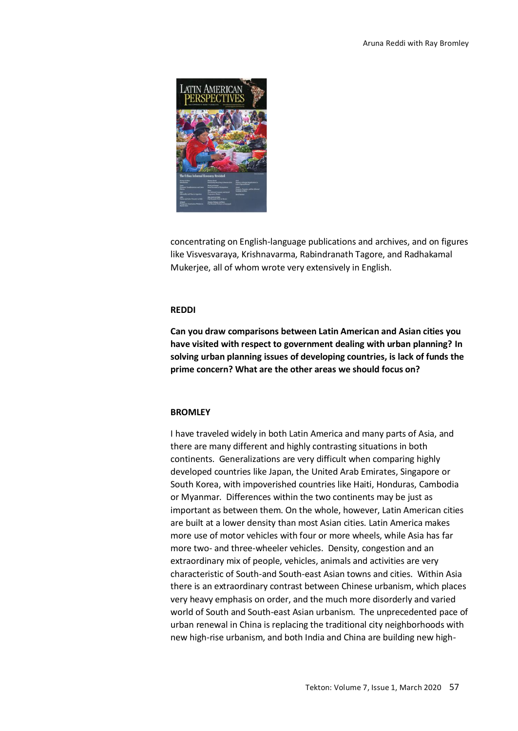

concentrating on English-language publications and archives, and on figures like Visvesvaraya, Krishnavarma, Rabindranath Tagore, and Radhakamal Mukerjee, all of whom wrote very extensively in English.

## **REDDI**

**Can you draw comparisons between Latin American and Asian cities you have visited with respect to government dealing with urban planning? In solving urban planning issues of developing countries, is lack of funds the prime concern? What are the other areas we should focus on?**

## **BROMLEY**

I have traveled widely in both Latin America and many parts of Asia, and there are many different and highly contrasting situations in both continents. Generalizations are very difficult when comparing highly developed countries like Japan, the United Arab Emirates, Singapore or South Korea, with impoverished countries like Haiti, Honduras, Cambodia or Myanmar. Differences within the two continents may be just as important as between them. On the whole, however, Latin American cities are built at a lower density than most Asian cities. Latin America makes more use of motor vehicles with four or more wheels, while Asia has far more two- and three-wheeler vehicles. Density, congestion and an extraordinary mix of people, vehicles, animals and activities are very characteristic of South-and South-east Asian towns and cities. Within Asia there is an extraordinary contrast between Chinese urbanism, which places very heavy emphasis on order, and the much more disorderly and varied world of South and South-east Asian urbanism. The unprecedented pace of urban renewal in China is replacing the traditional city neighborhoods with new high-rise urbanism, and both India and China are building new high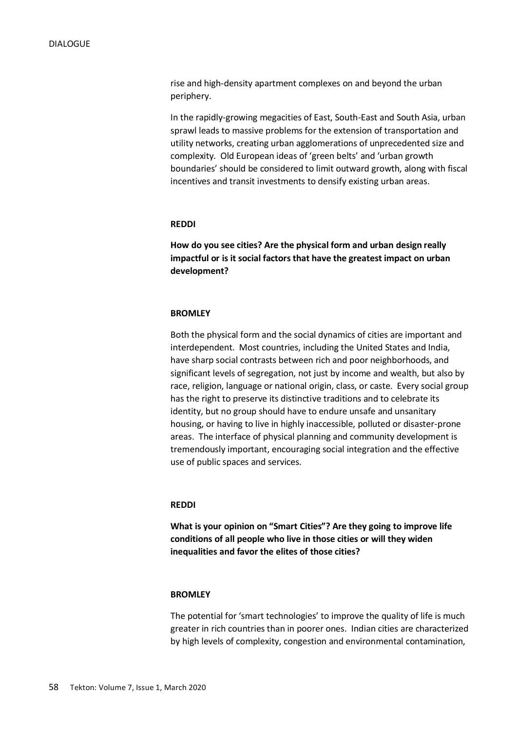rise and high-density apartment complexes on and beyond the urban periphery.

In the rapidly-growing megacities of East, South-East and South Asia, urban sprawl leads to massive problems for the extension of transportation and utility networks, creating urban agglomerations of unprecedented size and complexity. Old European ideas of 'green belts' and 'urban growth boundaries' should be considered to limit outward growth, along with fiscal incentives and transit investments to densify existing urban areas.

## **REDDI**

**How do you see cities? Are the physical form and urban design really impactful or is it social factors that have the greatest impact on urban development?** 

## **BROMLEY**

Both the physical form and the social dynamics of cities are important and interdependent. Most countries, including the United States and India, have sharp social contrasts between rich and poor neighborhoods, and significant levels of segregation, not just by income and wealth, but also by race, religion, language or national origin, class, or caste. Every social group has the right to preserve its distinctive traditions and to celebrate its identity, but no group should have to endure unsafe and unsanitary housing, or having to live in highly inaccessible, polluted or disaster-prone areas. The interface of physical planning and community development is tremendously important, encouraging social integration and the effective use of public spaces and services.

## **REDDI**

**What is your opinion on "Smart Cities"? Are they going to improve life conditions of all people who live in those cities or will they widen inequalities and favor the elites of those cities?**

## **BROMLEY**

The potential for 'smart technologies' to improve the quality of life is much greater in rich countries than in poorer ones. Indian cities are characterized by high levels of complexity, congestion and environmental contamination,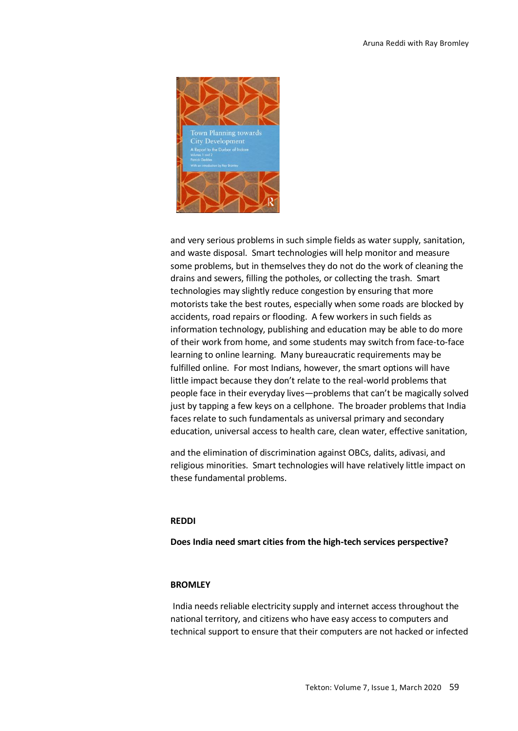

and very serious problems in such simple fields as water supply, sanitation, and waste disposal. Smart technologies will help monitor and measure some problems, but in themselves they do not do the work of cleaning the drains and sewers, filling the potholes, or collecting the trash. Smart technologies may slightly reduce congestion by ensuring that more motorists take the best routes, especially when some roads are blocked by accidents, road repairs or flooding. A few workers in such fields as information technology, publishing and education may be able to do more of their work from home, and some students may switch from face-to-face learning to online learning. Many bureaucratic requirements may be fulfilled online. For most Indians, however, the smart options will have little impact because they don't relate to the real-world problems that people face in their everyday lives—problems that can't be magically solved just by tapping a few keys on a cellphone. The broader problems that India faces relate to such fundamentals as universal primary and secondary education, universal access to health care, clean water, effective sanitation,

and the elimination of discrimination against OBCs, dalits, adivasi, and religious minorities. Smart technologies will have relatively little impact on these fundamental problems.

## **REDDI**

**Does India need smart cities from the high-tech services perspective?**

## **BROMLEY**

India needs reliable electricity supply and internet access throughout the national territory, and citizens who have easy access to computers and technical support to ensure that their computers are not hacked or infected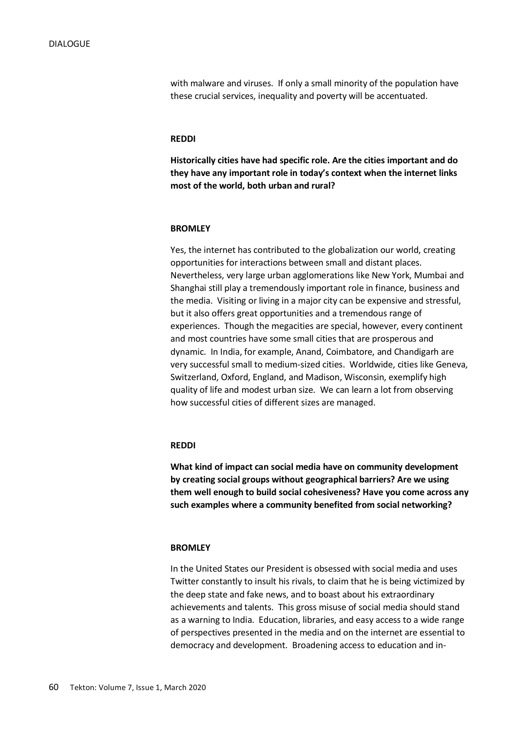with malware and viruses. If only a small minority of the population have these crucial services, inequality and poverty will be accentuated.

## **REDDI**

**Historically cities have had specific role. Are the cities important and do they have any important role in today's context when the internet links most of the world, both urban and rural?**

## **BROMLEY**

Yes, the internet has contributed to the globalization our world, creating opportunities for interactions between small and distant places. Nevertheless, very large urban agglomerations like New York, Mumbai and Shanghai still play a tremendously important role in finance, business and the media. Visiting or living in a major city can be expensive and stressful, but it also offers great opportunities and a tremendous range of experiences. Though the megacities are special, however, every continent and most countries have some small cities that are prosperous and dynamic. In India, for example, Anand, Coimbatore, and Chandigarh are very successful small to medium-sized cities. Worldwide, cities like Geneva, Switzerland, Oxford, England, and Madison, Wisconsin, exemplify high quality of life and modest urban size. We can learn a lot from observing how successful cities of different sizes are managed.

## **REDDI**

**What kind of impact can social media have on community development by creating social groups without geographical barriers? Are we using them well enough to build social cohesiveness? Have you come across any such examples where a community benefited from social networking?**

## **BROMLEY**

In the United States our President is obsessed with social media and uses Twitter constantly to insult his rivals, to claim that he is being victimized by the deep state and fake news, and to boast about his extraordinary achievements and talents. This gross misuse of social media should stand as a warning to India. Education, libraries, and easy access to a wide range of perspectives presented in the media and on the internet are essential to democracy and development. Broadening access to education and in-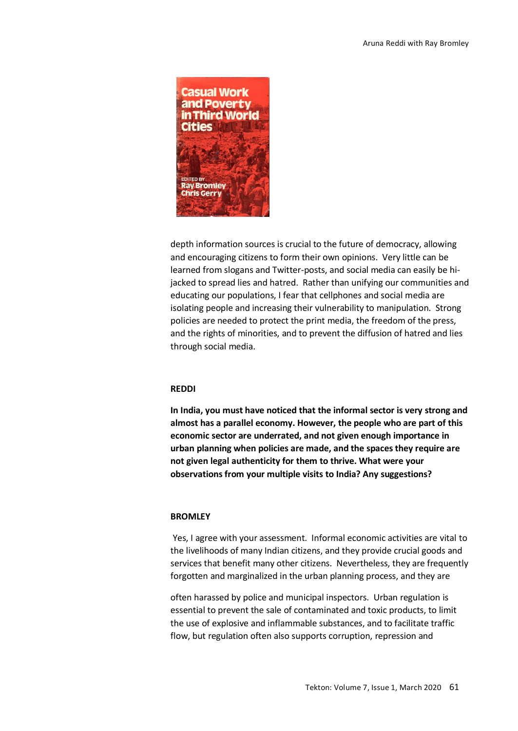

depth information sources is crucial to the future of democracy, allowing and encouraging citizens to form their own opinions. Very little can be learned from slogans and Twitter-posts, and social media can easily be hijacked to spread lies and hatred. Rather than unifying our communities and educating our populations, I fear that cellphones and social media are isolating people and increasing their vulnerability to manipulation. Strong policies are needed to protect the print media, the freedom of the press, and the rights of minorities, and to prevent the diffusion of hatred and lies through social media.

## **REDDI**

**In India, you must have noticed that the informal sector is very strong and almost has a parallel economy. However, the people who are part of this economic sector are underrated, and not given enough importance in urban planning when policies are made, and the spaces they require are not given legal authenticity for them to thrive. What were your observations from your multiple visits to India? Any suggestions?**

## **BROMLEY**

Yes, I agree with your assessment. Informal economic activities are vital to the livelihoods of many Indian citizens, and they provide crucial goods and services that benefit many other citizens. Nevertheless, they are frequently forgotten and marginalized in the urban planning process, and they are

often harassed by police and municipal inspectors. Urban regulation is essential to prevent the sale of contaminated and toxic products, to limit the use of explosive and inflammable substances, and to facilitate traffic flow, but regulation often also supports corruption, repression and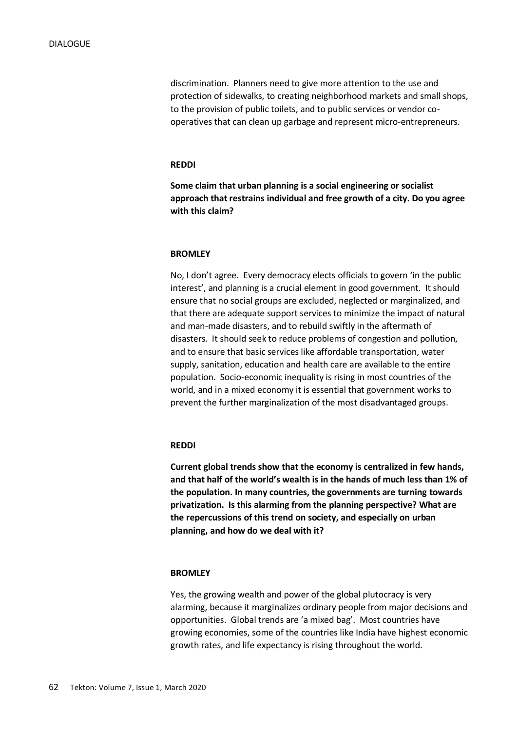discrimination. Planners need to give more attention to the use and protection of sidewalks, to creating neighborhood markets and small shops, to the provision of public toilets, and to public services or vendor cooperatives that can clean up garbage and represent micro-entrepreneurs.

## **REDDI**

**Some claim that urban planning is a social engineering or socialist approach that restrains individual and free growth of a city. Do you agree with this claim?**

## **BROMLEY**

No, I don't agree. Every democracy elects officials to govern 'in the public interest', and planning is a crucial element in good government. It should ensure that no social groups are excluded, neglected or marginalized, and that there are adequate support services to minimize the impact of natural and man-made disasters, and to rebuild swiftly in the aftermath of disasters. It should seek to reduce problems of congestion and pollution, and to ensure that basic services like affordable transportation, water supply, sanitation, education and health care are available to the entire population. Socio-economic inequality is rising in most countries of the world, and in a mixed economy it is essential that government works to prevent the further marginalization of the most disadvantaged groups.

## **REDDI**

**Current global trends show that the economy is centralized in few hands, and that half of the world's wealth is in the hands of much less than 1% of the population. In many countries, the governments are turning towards privatization. Is this alarming from the planning perspective? What are the repercussions of this trend on society, and especially on urban planning, and how do we deal with it?**

## **BROMLEY**

Yes, the growing wealth and power of the global plutocracy is very alarming, because it marginalizes ordinary people from major decisions and opportunities. Global trends are 'a mixed bag'. Most countries have growing economies, some of the countries like India have highest economic growth rates, and life expectancy is rising throughout the world.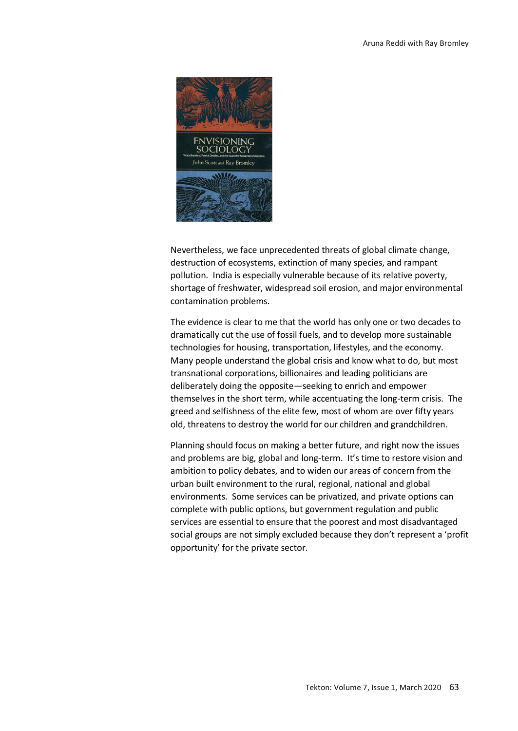

Nevertheless, we face unprecedented threats of global climate change, destruction of ecosystems, extinction of many species, and rampant pollution. India is especially vulnerable because of its relative poverty, shortage of freshwater, widespread soil erosion, and major environmental contamination problems.

The evidence is clear to me that the world has only one or two decades to dramatically cut the use of fossil fuels, and to develop more sustainable technologies for housing, transportation, lifestyles, and the economy. Many people understand the global crisis and know what to do, but most transnational corporations, billionaires and leading politicians are deliberately doing the opposite—seeking to enrich and empower themselves in the short term, while accentuating the long-term crisis. The greed and selfishness of the elite few, most of whom are over fifty years old, threatens to destroy the world for our children and grandchildren.

Planning should focus on making a better future, and right now the issues and problems are big, global and long-term. It's time to restore vision and ambition to policy debates, and to widen our areas of concern from the urban built environment to the rural, regional, national and global environments. Some services can be privatized, and private options can complete with public options, but government regulation and public services are essential to ensure that the poorest and most disadvantaged social groups are not simply excluded because they don't represent a 'profit opportunity' for the private sector.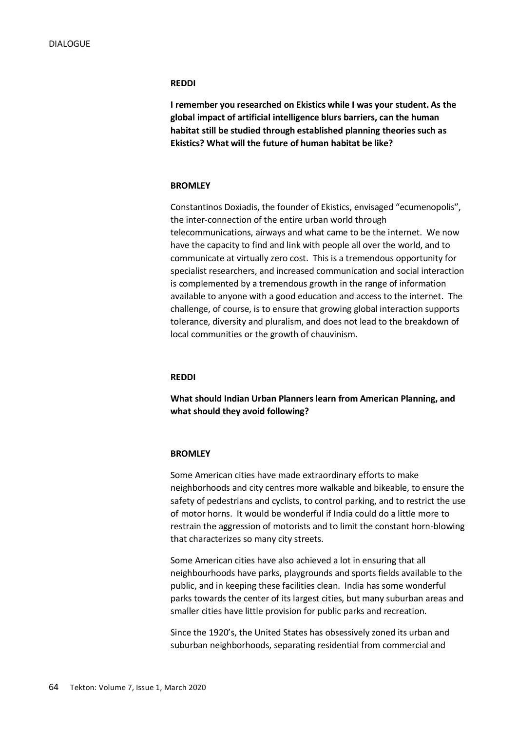#### **REDDI**

**I remember you researched on Ekistics while I was your student. As the global impact of artificial intelligence blurs barriers, can the human habitat still be studied through established planning theories such as Ekistics? What will the future of human habitat be like?**

## **BROMLEY**

Constantinos Doxiadis, the founder of Ekistics, envisaged "ecumenopolis", the inter-connection of the entire urban world through telecommunications, airways and what came to be the internet. We now have the capacity to find and link with people all over the world, and to communicate at virtually zero cost. This is a tremendous opportunity for specialist researchers, and increased communication and social interaction is complemented by a tremendous growth in the range of information available to anyone with a good education and access to the internet. The challenge, of course, is to ensure that growing global interaction supports tolerance, diversity and pluralism, and does not lead to the breakdown of local communities or the growth of chauvinism.

## **REDDI**

**What should Indian Urban Planners learn from American Planning, and what should they avoid following?**

## **BROMLEY**

Some American cities have made extraordinary efforts to make neighborhoods and city centres more walkable and bikeable, to ensure the safety of pedestrians and cyclists, to control parking, and to restrict the use of motor horns. It would be wonderful if India could do a little more to restrain the aggression of motorists and to limit the constant horn-blowing that characterizes so many city streets.

Some American cities have also achieved a lot in ensuring that all neighbourhoods have parks, playgrounds and sports fields available to the public, and in keeping these facilities clean. India has some wonderful parks towards the center of its largest cities, but many suburban areas and smaller cities have little provision for public parks and recreation.

Since the 1920's, the United States has obsessively zoned its urban and suburban neighborhoods, separating residential from commercial and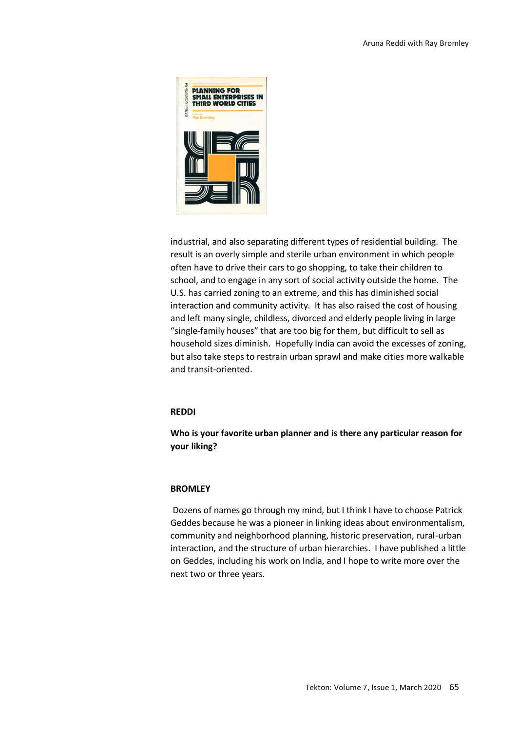

industrial, and also separating different types of residential building. The result is an overly simple and sterile urban environment in which people often have to drive their cars to go shopping, to take their children to school, and to engage in any sort of social activity outside the home. The U.S. has carried zoning to an extreme, and this has diminished social interaction and community activity. It has also raised the cost of housing and left many single, childless, divorced and elderly people living in large "single-family houses" that are too big for them, but difficult to sell as household sizes diminish. Hopefully India can avoid the excesses of zoning, but also take steps to restrain urban sprawl and make cities more walkable and transit-oriented.

## **REDDI**

## **Who is your favorite urban planner and is there any particular reason for your liking?**

## **BROMLEY**

Dozens of names go through my mind, but I think I have to choose Patrick Geddes because he was a pioneer in linking ideas about environmentalism, community and neighborhood planning, historic preservation, rural-urban interaction, and the structure of urban hierarchies. I have published a little on Geddes, including his work on India, and I hope to write more over the next two or three years.